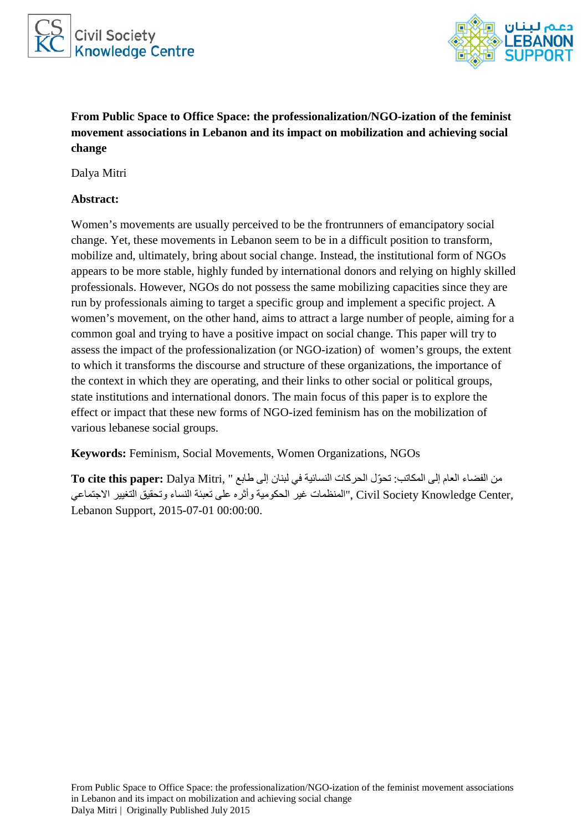



**From Public Space to Office Space: the professionalization/NGO-ization of the feminist movement associations in Lebanon and its impact on mobilization and achieving social change**

Dalya Mitri

### **Abstract:**

Women's movements are usually perceived to be the frontrunners of emancipatory social change. Yet, these movements in Lebanon seem to be in a difficult position to transform, mobilize and, ultimately, bring about social change. Instead, the institutional form of NGOs appears to be more stable, highly funded by international donors and relying on highly skilled professionals. However, NGOs do not possess the same mobilizing capacities since they are run by professionals aiming to target a specific group and implement a specific project. A women's movement, on the other hand, aims to attract a large number of people, aiming for a common goal and trying to have a positive impact on social change. This paper will try to assess the impact of the professionalization (or NGO-ization) of women's groups, the extent to which it transforms the discourse and structure of these organizations, the importance of the context in which they are operating, and their links to other social or political groups, state institutions and international donors. The main focus of this paper is to explore the effect or impact that these new forms of NGO-ized feminism has on the mobilization of various lebanese social groups.

**Keywords:** Feminism, Social Movements, Women Organizations, NGOs

من الفضاء العام إلى المكاتب: ّ تحول الحركات النسائية في لبنان إلى طابع " ,Mitri Dalya **:paper this cite To** ,Center Knowledge Society Civil ,"المنظمات غير الحكومية وأثره على تعبئة النساء وتحقيق التغيير الاجتماعي Lebanon Support, 2015-07-01 00:00:00.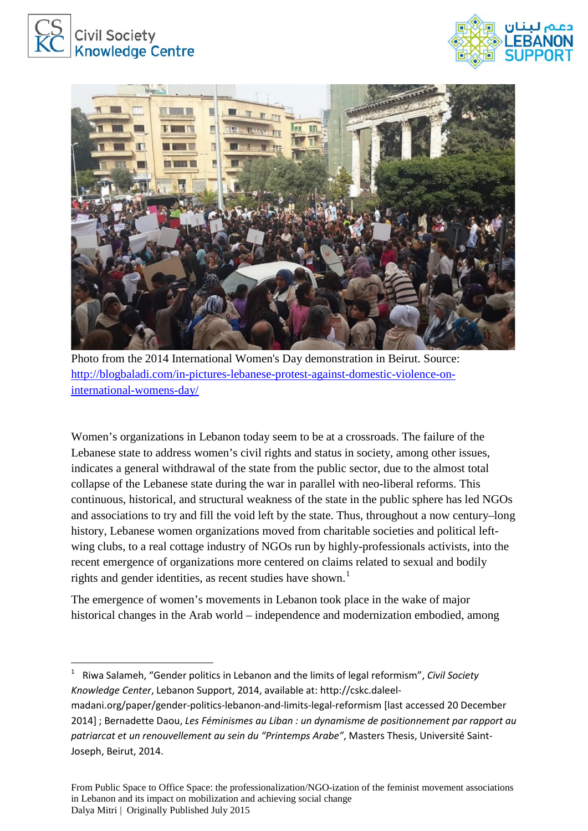





Photo from the 2014 International Women's Day demonstration in Beirut. Source: [http://blogbaladi.com/in-pictures-lebanese-protest-against-domestic-violence-on](http://blogbaladi.com/in-pictures-lebanese-protest-against-domestic-violence-on-international-womens-day/)[international-womens-day/](http://blogbaladi.com/in-pictures-lebanese-protest-against-domestic-violence-on-international-womens-day/)

Women's organizations in Lebanon today seem to be at a crossroads. The failure of the Lebanese state to address women's civil rights and status in society, among other issues, indicates a general withdrawal of the state from the public sector, due to the almost total collapse of the Lebanese state during the war in parallel with neo-liberal reforms. This continuous, historical, and structural weakness of the state in the public sphere has led NGOs and associations to try and fill the void left by the state. Thus, throughout a now century–long history, Lebanese women organizations moved from charitable societies and political leftwing clubs, to a real cottage industry of NGOs run by highly-professionals activists, into the recent emergence of organizations more centered on claims related to sexual and bodily rights and gender identities, as recent studies have shown.<sup>[1](#page-1-0)</sup>

The emergence of women's movements in Lebanon took place in the wake of major historical changes in the Arab world – independence and modernization embodied, among

<span id="page-1-0"></span> <sup>1</sup> Riwa Salameh, "Gender politics in Lebanon and the limits of legal reformism", *Civil Society Knowledge Center*, Lebanon Support, 2014, available at: http://cskc.daleelmadani.org/paper/gender-politics-lebanon-and-limits-legal-reformism [last accessed 20 December 2014] ; Bernadette Daou, *Les Féminismes au Liban : un dynamisme de positionnement par rapport au patriarcat et un renouvellement au sein du "Printemps Arabe"*, Masters Thesis, Université Saint-Joseph, Beirut, 2014.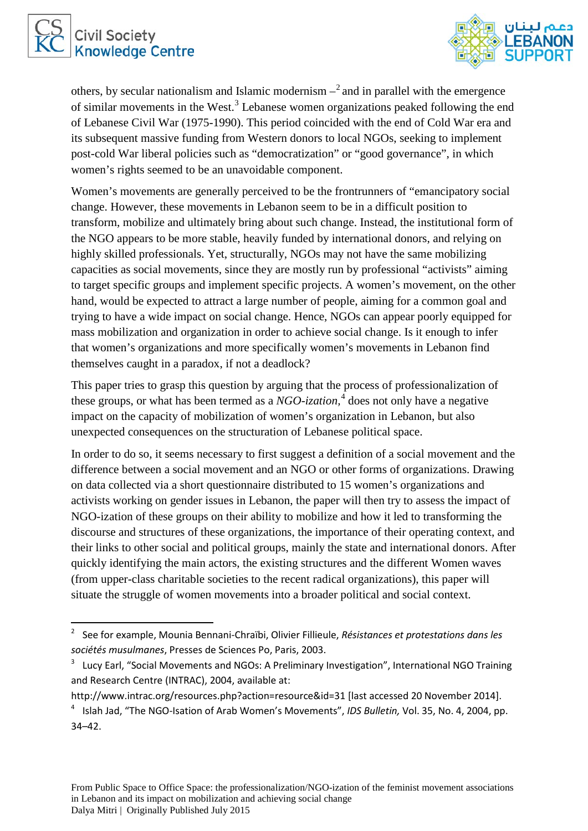



others, by secular nationalism and Islamic modernism  $-\frac{2}{3}$  $-\frac{2}{3}$  $-\frac{2}{3}$  and in parallel with the emergence of similar movements in the West.<sup>[3](#page-2-1)</sup> Lebanese women organizations peaked following the end of Lebanese Civil War (1975-1990). This period coincided with the end of Cold War era and its subsequent massive funding from Western donors to local NGOs, seeking to implement post-cold War liberal policies such as "democratization" or "good governance", in which women's rights seemed to be an unavoidable component.

Women's movements are generally perceived to be the frontrunners of "emancipatory social change. However, these movements in Lebanon seem to be in a difficult position to transform, mobilize and ultimately bring about such change. Instead, the institutional form of the NGO appears to be more stable, heavily funded by international donors, and relying on highly skilled professionals. Yet, structurally, NGOs may not have the same mobilizing capacities as social movements, since they are mostly run by professional "activists" aiming to target specific groups and implement specific projects. A women's movement, on the other hand, would be expected to attract a large number of people, aiming for a common goal and trying to have a wide impact on social change. Hence, NGOs can appear poorly equipped for mass mobilization and organization in order to achieve social change. Is it enough to infer that women's organizations and more specifically women's movements in Lebanon find themselves caught in a paradox, if not a deadlock?

This paper tries to grasp this question by arguing that the process of professionalization of these groups, or what has been termed as a *NGO-ization*,<sup>[4](#page-2-2)</sup> does not only have a negative impact on the capacity of mobilization of women's organization in Lebanon, but also unexpected consequences on the structuration of Lebanese political space.

In order to do so, it seems necessary to first suggest a definition of a social movement and the difference between a social movement and an NGO or other forms of organizations. Drawing on data collected via a short questionnaire distributed to 15 women's organizations and activists working on gender issues in Lebanon, the paper will then try to assess the impact of NGO-ization of these groups on their ability to mobilize and how it led to transforming the discourse and structures of these organizations, the importance of their operating context, and their links to other social and political groups, mainly the state and international donors. After quickly identifying the main actors, the existing structures and the different Women waves (from upper-class charitable societies to the recent radical organizations), this paper will situate the struggle of women movements into a broader political and social context.

<span id="page-2-0"></span> <sup>2</sup> See for example, Mounia Bennani-Chraïbi, Olivier Fillieule, *Résistances et protestations dans les sociétés musulmanes*, Presses de Sciences Po, Paris, 2003.

<span id="page-2-1"></span><sup>&</sup>lt;sup>3</sup> Lucy Earl, "Social Movements and NGOs: A Preliminary Investigation", International NGO Training and Research Centre (INTRAC), 2004, available at:

http://www.intrac.org/resources.php?action=resource&id=31 [last accessed 20 November 2014].

<span id="page-2-2"></span><sup>4</sup> Islah Jad, "The NGO-Isation of Arab Women's Movements", *IDS Bulletin,* Vol. 35, No. 4, 2004, pp. 34–42.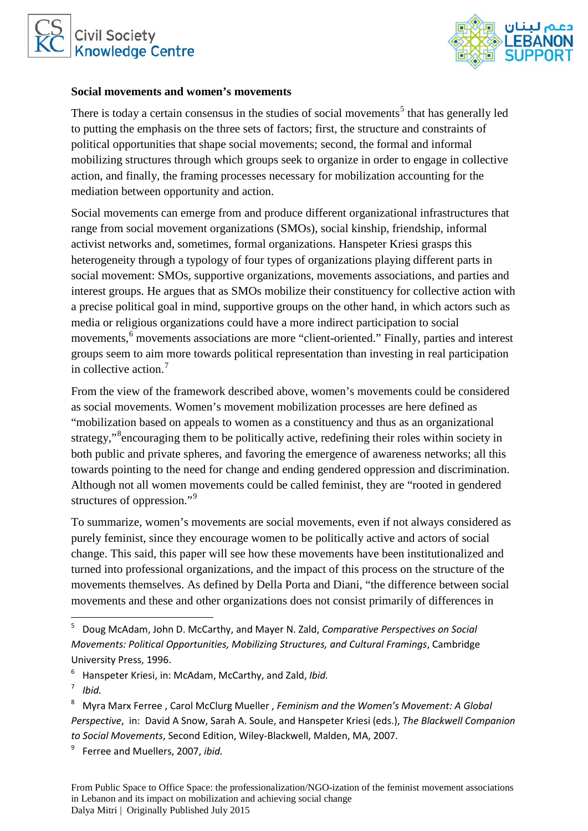



#### **Social movements and women's movements**

There is today a certain consensus in the studies of social movements<sup>[5](#page-3-0)</sup> that has generally led to putting the emphasis on the three sets of factors; first, the structure and constraints of political opportunities that shape social movements; second, the formal and informal mobilizing structures through which groups seek to organize in order to engage in collective action, and finally, the framing processes necessary for mobilization accounting for the mediation between opportunity and action.

Social movements can emerge from and produce different organizational infrastructures that range from social movement organizations (SMOs), social kinship, friendship, informal activist networks and, sometimes, formal organizations. Hanspeter Kriesi grasps this heterogeneity through a typology of four types of organizations playing different parts in social movement: SMOs, supportive organizations, movements associations, and parties and interest groups. He argues that as SMOs mobilize their constituency for collective action with a precise political goal in mind, supportive groups on the other hand, in which actors such as media or religious organizations could have a more indirect participation to social movements,<sup>[6](#page-3-1)</sup> movements associations are more "client-oriented." Finally, parties and interest groups seem to aim more towards political representation than investing in real participation in collective action.<sup>[7](#page-3-2)</sup>

From the view of the framework described above, women's movements could be considered as social movements. Women's movement mobilization processes are here defined as "mobilization based on appeals to women as a constituency and thus as an organizational strategy,"<sup>[8](#page-3-3)</sup> encouraging them to be politically active, redefining their roles within society in both public and private spheres, and favoring the emergence of awareness networks; all this towards pointing to the need for change and ending gendered oppression and discrimination. Although not all women movements could be called feminist, they are "rooted in gendered structures of oppression."<sup>[9](#page-3-4)</sup>

To summarize, women's movements are social movements, even if not always considered as purely feminist, since they encourage women to be politically active and actors of social change. This said, this paper will see how these movements have been institutionalized and turned into professional organizations, and the impact of this process on the structure of the movements themselves. As defined by Della Porta and Diani, "the difference between social movements and these and other organizations does not consist primarily of differences in

<span id="page-3-4"></span><sup>9</sup> Ferree and Muellers, 2007, *ibid.* 

<span id="page-3-0"></span> <sup>5</sup> Doug McAdam, John D. McCarthy, and Mayer N. Zald, *Comparative Perspectives on Social Movements: Political Opportunities, Mobilizing Structures, and Cultural Framings*, Cambridge University Press, 1996.

<sup>6</sup> Hanspeter Kriesi, in: McAdam, McCarthy, and Zald, *Ibid.*

<span id="page-3-2"></span><span id="page-3-1"></span><sup>7</sup> *Ibid.*

<span id="page-3-3"></span><sup>8</sup> Myra Marx Ferree , Carol McClurg Mueller , *Feminism and the Women's Movement: A Global Perspective*, in: David A Snow, Sarah A. Soule, and Hanspeter Kriesi (eds.), *The Blackwell Companion to Social Movements*, Second Edition, Wiley-Blackwell, Malden, MA, 2007.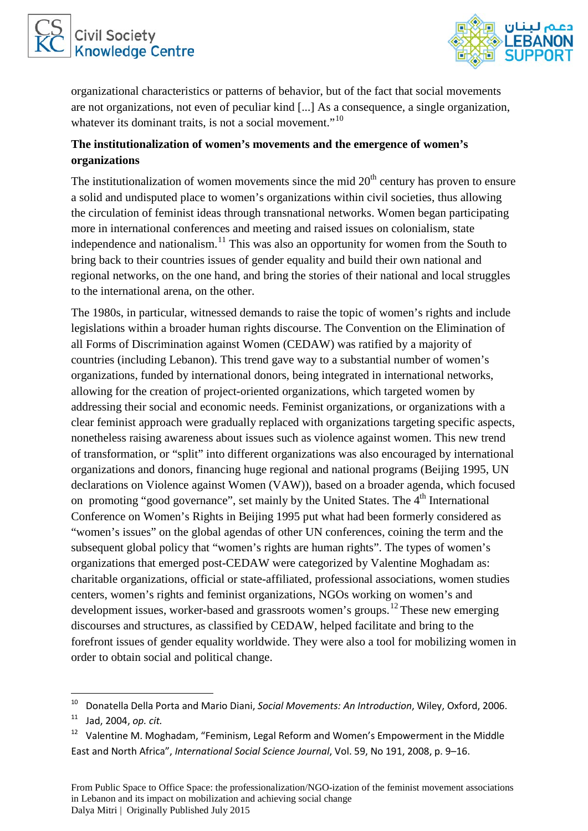



organizational characteristics or patterns of behavior, but of the fact that social movements are not organizations, not even of peculiar kind [...] As a consequence, a single organization, whatever its dominant traits, is not a social movement."<sup>[10](#page-4-0)</sup>

## **The institutionalization of women's movements and the emergence of women's organizations**

The institutionalization of women movements since the mid  $20<sup>th</sup>$  century has proven to ensure a solid and undisputed place to women's organizations within civil societies, thus allowing the circulation of feminist ideas through transnational networks. Women began participating more in international conferences and meeting and raised issues on colonialism, state independence and nationalism.<sup>[11](#page-4-1)</sup> This was also an opportunity for women from the South to bring back to their countries issues of gender equality and build their own national and regional networks, on the one hand, and bring the stories of their national and local struggles to the international arena, on the other.

The 1980s, in particular, witnessed demands to raise the topic of women's rights and include legislations within a broader human rights discourse. The Convention on the Elimination of all Forms of Discrimination against Women (CEDAW) was ratified by a majority of countries (including Lebanon). This trend gave way to a substantial number of women's organizations, funded by international donors, being integrated in international networks, allowing for the creation of project-oriented organizations, which targeted women by addressing their social and economic needs. Feminist organizations, or organizations with a clear feminist approach were gradually replaced with organizations targeting specific aspects, nonetheless raising awareness about issues such as violence against women. This new trend of transformation, or "split" into different organizations was also encouraged by international organizations and donors, financing huge regional and national programs (Beijing 1995, UN declarations on Violence against Women (VAW)), based on a broader agenda, which focused on promoting "good governance", set mainly by the United States. The  $4<sup>th</sup>$  International Conference on Women's Rights in Beijing 1995 put what had been formerly considered as "women's issues" on the global agendas of other UN conferences, coining the term and the subsequent global policy that "women's rights are human rights". The types of women's organizations that emerged post-CEDAW were categorized by Valentine Moghadam as: charitable organizations, official or state-affiliated, professional associations, women studies centers, women's rights and feminist organizations, NGOs working on women's and development issues, worker-based and grassroots women's groups.<sup>[12](#page-4-2)</sup> These new emerging discourses and structures, as classified by CEDAW, helped facilitate and bring to the forefront issues of gender equality worldwide. They were also a tool for mobilizing women in order to obtain social and political change.

<span id="page-4-0"></span> <sup>10</sup> Donatella Della Porta and Mario Diani, *Social Movements: An Introduction*, Wiley, Oxford, 2006.

<span id="page-4-1"></span><sup>11</sup> Jad, 2004, *op. cit.*

<span id="page-4-2"></span> $12$  Valentine M. Moghadam, "Feminism, Legal Reform and Women's Empowerment in the Middle East and North Africa", *International Social Science Journal*, Vol. 59, No 191, 2008, p. 9–16.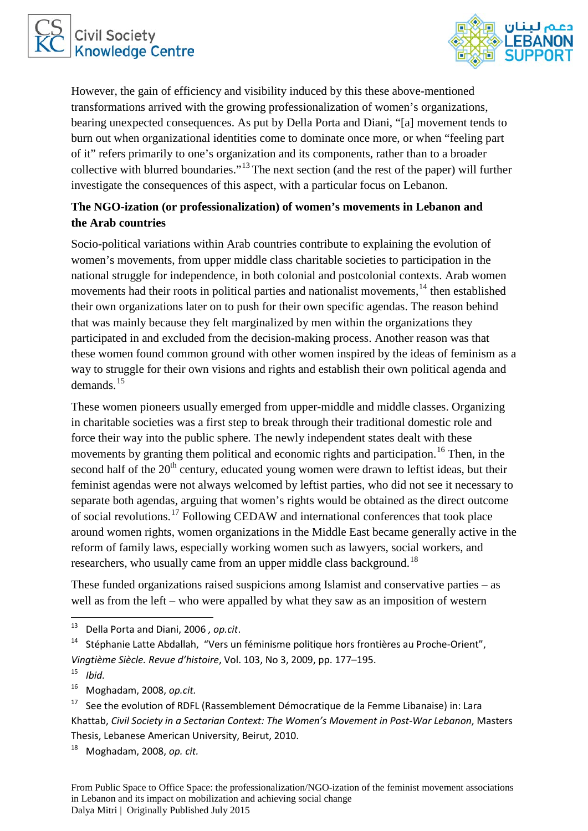



However, the gain of efficiency and visibility induced by this these above-mentioned transformations arrived with the growing professionalization of women's organizations, bearing unexpected consequences. As put by Della Porta and Diani, "[a] movement tends to burn out when organizational identities come to dominate once more, or when "feeling part of it" refers primarily to one's organization and its components, rather than to a broader collective with blurred boundaries."[13](#page-5-0) The next section (and the rest of the paper) will further investigate the consequences of this aspect, with a particular focus on Lebanon.

# **The NGO-ization (or professionalization) of women's movements in Lebanon and the Arab countries**

Socio-political variations within Arab countries contribute to explaining the evolution of women's movements, from upper middle class charitable societies to participation in the national struggle for independence, in both colonial and postcolonial contexts. Arab women movements had their roots in political parties and nationalist movements,<sup>[14](#page-5-1)</sup> then established their own organizations later on to push for their own specific agendas. The reason behind that was mainly because they felt marginalized by men within the organizations they participated in and excluded from the decision-making process. Another reason was that these women found common ground with other women inspired by the ideas of feminism as a way to struggle for their own visions and rights and establish their own political agenda and demands.[15](#page-5-2)

These women pioneers usually emerged from upper-middle and middle classes. Organizing in charitable societies was a first step to break through their traditional domestic role and force their way into the public sphere. The newly independent states dealt with these movements by granting them political and economic rights and participation.<sup>[16](#page-5-3)</sup> Then, in the second half of the  $20<sup>th</sup>$  century, educated young women were drawn to leftist ideas, but their feminist agendas were not always welcomed by leftist parties, who did not see it necessary to separate both agendas, arguing that women's rights would be obtained as the direct outcome of social revolutions.[17](#page-5-4) Following CEDAW and international conferences that took place around women rights, women organizations in the Middle East became generally active in the reform of family laws, especially working women such as lawyers, social workers, and researchers, who usually came from an upper middle class background.<sup>[18](#page-5-5)</sup>

These funded organizations raised suspicions among Islamist and conservative parties – as well as from the left – who were appalled by what they saw as an imposition of western

<span id="page-5-3"></span><sup>16</sup> Moghadam, 2008, *op.cit.*

<span id="page-5-5"></span><sup>18</sup> Moghadam, 2008, *op. cit.*

<span id="page-5-0"></span> <sup>13</sup> Della Porta and Diani, 2006 *, op.cit*.

<span id="page-5-1"></span><sup>14</sup> Stéphanie Latte Abdallah, "Vers un féminisme politique hors frontières au Proche-Orient", *Vingtième Siècle. Revue d'histoire*, Vol. 103, No 3, 2009, pp. 177–195.

<span id="page-5-2"></span><sup>15</sup> *Ibid.*

<span id="page-5-4"></span> $17$  See the evolution of RDFL (Rassemblement Démocratique de la Femme Libanaise) in: Lara Khattab, *Civil Society in a Sectarian Context: The Women's Movement in Post-War Lebanon*, Masters Thesis, Lebanese American University, Beirut, 2010.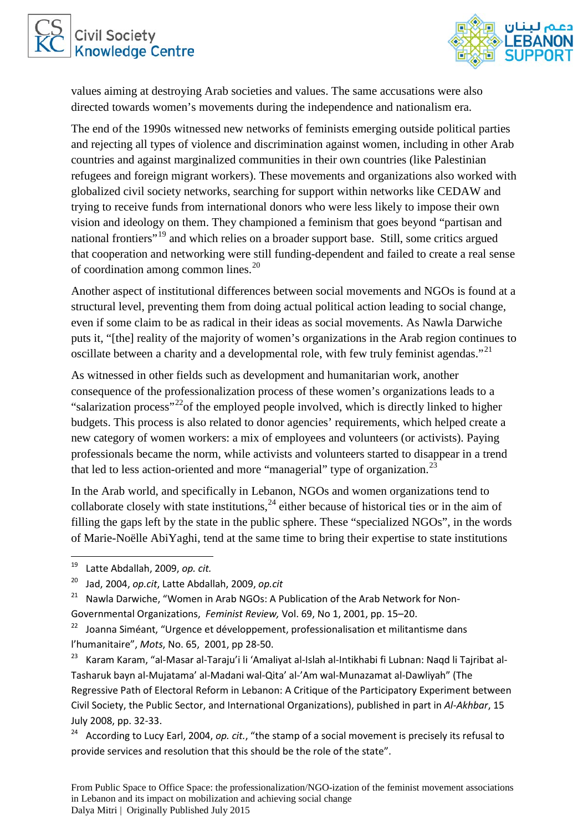



values aiming at destroying Arab societies and values. The same accusations were also directed towards women's movements during the independence and nationalism era.

The end of the 1990s witnessed new networks of feminists emerging outside political parties and rejecting all types of violence and discrimination against women, including in other Arab countries and against marginalized communities in their own countries (like Palestinian refugees and foreign migrant workers). These movements and organizations also worked with globalized civil society networks, searching for support within networks like CEDAW and trying to receive funds from international donors who were less likely to impose their own vision and ideology on them. They championed a feminism that goes beyond "partisan and national frontiers<sup>"[19](#page-6-0)</sup> and which relies on a broader support base. Still, some critics argued that cooperation and networking were still funding-dependent and failed to create a real sense of coordination among common lines.[20](#page-6-1)

Another aspect of institutional differences between social movements and NGOs is found at a structural level, preventing them from doing actual political action leading to social change, even if some claim to be as radical in their ideas as social movements. As Nawla Darwiche puts it, "[the] reality of the majority of women's organizations in the Arab region continues to oscillate between a charity and a developmental role, with few truly feminist agendas."[21](#page-6-2)

As witnessed in other fields such as development and humanitarian work, another consequence of the professionalization process of these women's organizations leads to a "salarization process"<sup>22</sup> of the employed people involved, which is directly linked to higher budgets. This process is also related to donor agencies' requirements, which helped create a new category of women workers: a mix of employees and volunteers (or activists). Paying professionals became the norm, while activists and volunteers started to disappear in a trend that led to less action-oriented and more "managerial" type of organization.<sup>[23](#page-6-4)</sup>

In the Arab world, and specifically in Lebanon, NGOs and women organizations tend to collaborate closely with state institutions,  $^{24}$  $^{24}$  $^{24}$  either because of historical ties or in the aim of filling the gaps left by the state in the public sphere. These "specialized NGOs", in the words of Marie-Noëlle AbiYaghi, tend at the same time to bring their expertise to state institutions

<span id="page-6-0"></span> <sup>19</sup> Latte Abdallah, 2009, *op. cit.*

<span id="page-6-1"></span><sup>20</sup> Jad, 2004, *op.cit*, Latte Abdallah, 2009, *op.cit*

<span id="page-6-2"></span><sup>&</sup>lt;sup>21</sup> Nawla Darwiche, "Women in Arab NGOs: A Publication of the Arab Network for Non-Governmental Organizations, *Feminist Review,* Vol. 69, No 1, 2001, pp. 15–20.

<span id="page-6-3"></span><sup>&</sup>lt;sup>22</sup> Joanna Siméant, "Urgence et développement, professionalisation et militantisme dans l'humanitaire", *Mots*, No. 65, 2001, pp 28-50.

<span id="page-6-4"></span><sup>23</sup> Karam Karam, "al-Masar al-Taraju'i li 'Amaliyat al-Islah al-Intikhabi fi Lubnan: Naqd li Tajribat al-Tasharuk bayn al-Mujatama' al-Madani wal-Qita' al-'Am wal-Munazamat al-Dawliyah" (The Regressive Path of Electoral Reform in Lebanon: A Critique of the Participatory Experiment between Civil Society, the Public Sector, and International Organizations), published in part in *Al-Akhbar*, 15 July 2008, pp. 32-33.<br><sup>24</sup> According to Lucy Earl, 2004, *op. cit.*, "the stamp of a social movement is precisely its refusal to

<span id="page-6-5"></span>provide services and resolution that this should be the role of the state".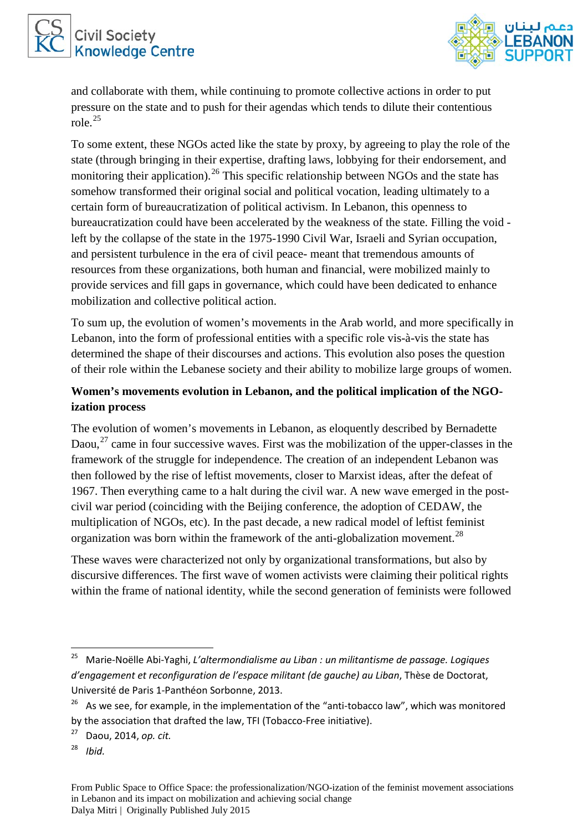



and collaborate with them, while continuing to promote collective actions in order to put pressure on the state and to push for their agendas which tends to dilute their contentious role.[25](#page-7-0)

To some extent, these NGOs acted like the state by proxy, by agreeing to play the role of the state (through bringing in their expertise, drafting laws, lobbying for their endorsement, and monitoring their application).<sup>[26](#page-7-1)</sup> This specific relationship between NGOs and the state has somehow transformed their original social and political vocation, leading ultimately to a certain form of bureaucratization of political activism. In Lebanon, this openness to bureaucratization could have been accelerated by the weakness of the state. Filling the void left by the collapse of the state in the 1975-1990 Civil War, Israeli and Syrian occupation, and persistent turbulence in the era of civil peace- meant that tremendous amounts of resources from these organizations, both human and financial, were mobilized mainly to provide services and fill gaps in governance, which could have been dedicated to enhance mobilization and collective political action.

To sum up, the evolution of women's movements in the Arab world, and more specifically in Lebanon, into the form of professional entities with a specific role vis-à-vis the state has determined the shape of their discourses and actions. This evolution also poses the question of their role within the Lebanese society and their ability to mobilize large groups of women.

# **Women's movements evolution in Lebanon, and the political implication of the NGOization process**

The evolution of women's movements in Lebanon, as eloquently described by Bernadette Daou,  $27$  came in four successive waves. First was the mobilization of the upper-classes in the framework of the struggle for independence. The creation of an independent Lebanon was then followed by the rise of leftist movements, closer to Marxist ideas, after the defeat of 1967. Then everything came to a halt during the civil war. A new wave emerged in the postcivil war period (coinciding with the Beijing conference, the adoption of CEDAW, the multiplication of NGOs, etc). In the past decade, a new radical model of leftist feminist organization was born within the framework of the anti-globalization movement.<sup>[28](#page-7-3)</sup>

These waves were characterized not only by organizational transformations, but also by discursive differences. The first wave of women activists were claiming their political rights within the frame of national identity, while the second generation of feminists were followed

<span id="page-7-0"></span> <sup>25</sup> Marie-Noëlle Abi-Yaghi, *L'altermondialisme au Liban : un militantisme de passage. Logiques d'engagement et reconfiguration de l'espace militant (de gauche) au Liban*, Thèse de Doctorat, Université de Paris 1-Panthéon Sorbonne, 2013.

<span id="page-7-1"></span> $26$  As we see, for example, in the implementation of the "anti-tobacco law", which was monitored by the association that drafted the law, TFI (Tobacco-Free initiative).

<span id="page-7-2"></span><sup>27</sup> Daou, 2014, *op. cit.*

<span id="page-7-3"></span><sup>28</sup> *Ibid.*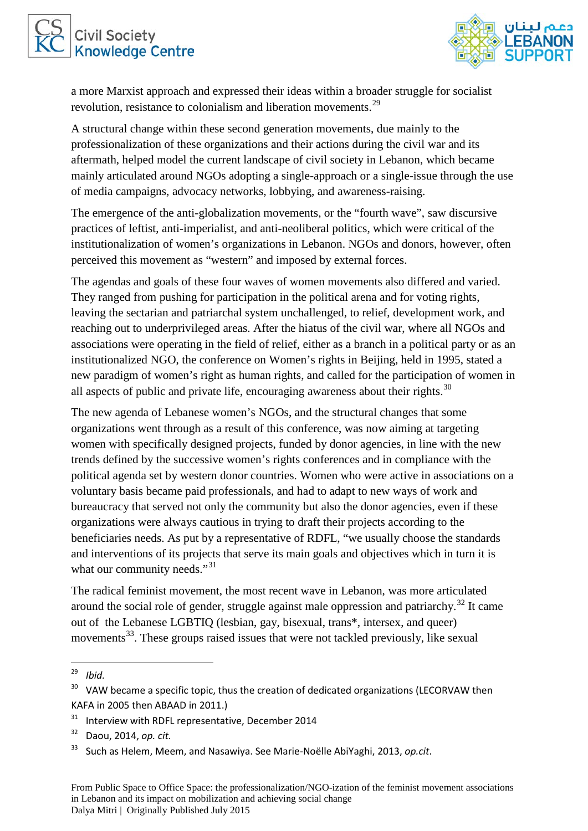



a more Marxist approach and expressed their ideas within a broader struggle for socialist revolution, resistance to colonialism and liberation movements.<sup>[29](#page-8-0)</sup>

A structural change within these second generation movements, due mainly to the professionalization of these organizations and their actions during the civil war and its aftermath, helped model the current landscape of civil society in Lebanon, which became mainly articulated around NGOs adopting a single-approach or a single-issue through the use of media campaigns, advocacy networks, lobbying, and awareness-raising.

The emergence of the anti-globalization movements, or the "fourth wave", saw discursive practices of leftist, anti-imperialist, and anti-neoliberal politics, which were critical of the institutionalization of women's organizations in Lebanon. NGOs and donors, however, often perceived this movement as "western" and imposed by external forces.

The agendas and goals of these four waves of women movements also differed and varied. They ranged from pushing for participation in the political arena and for voting rights, leaving the sectarian and patriarchal system unchallenged, to relief, development work, and reaching out to underprivileged areas. After the hiatus of the civil war, where all NGOs and associations were operating in the field of relief, either as a branch in a political party or as an institutionalized NGO, the conference on Women's rights in Beijing, held in 1995, stated a new paradigm of women's right as human rights, and called for the participation of women in all aspects of public and private life, encouraging awareness about their rights.<sup>[30](#page-8-1)</sup>

The new agenda of Lebanese women's NGOs, and the structural changes that some organizations went through as a result of this conference, was now aiming at targeting women with specifically designed projects, funded by donor agencies, in line with the new trends defined by the successive women's rights conferences and in compliance with the political agenda set by western donor countries. Women who were active in associations on a voluntary basis became paid professionals, and had to adapt to new ways of work and bureaucracy that served not only the community but also the donor agencies, even if these organizations were always cautious in trying to draft their projects according to the beneficiaries needs. As put by a representative of RDFL, "we usually choose the standards and interventions of its projects that serve its main goals and objectives which in turn it is what our community needs."<sup>[31](#page-8-2)</sup>

The radical feminist movement, the most recent wave in Lebanon, was more articulated around the social role of gender, struggle against male oppression and patriarchy.<sup>[32](#page-8-3)</sup> It came out of the Lebanese LGBTIQ (lesbian, gay, bisexual, trans\*, intersex, and queer) movements<sup>33</sup>. These groups raised issues that were not tackled previously, like sexual

<span id="page-8-0"></span> <sup>29</sup> *Ibid.*

<span id="page-8-1"></span> $30$  VAW became a specific topic, thus the creation of dedicated organizations (LECORVAW then KAFA in 2005 then ABAAD in 2011.)

<span id="page-8-2"></span> $31$  Interview with RDFL representative, December 2014

<span id="page-8-3"></span><sup>32</sup> Daou, 2014, *op. cit.*

<span id="page-8-4"></span><sup>33</sup> Such as Helem, Meem, and Nasawiya. See Marie-Noëlle AbiYaghi, 2013, *op.cit*.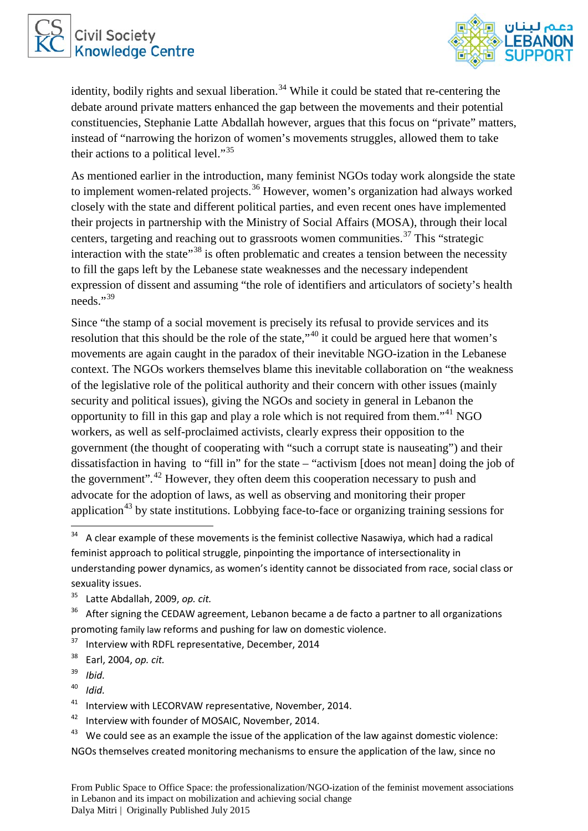



identity, bodily rights and sexual liberation.<sup>[34](#page-9-0)</sup> While it could be stated that re-centering the debate around private matters enhanced the gap between the movements and their potential constituencies, Stephanie Latte Abdallah however, argues that this focus on "private" matters, instead of "narrowing the horizon of women's movements struggles, allowed them to take their actions to a political level."<sup>[35](#page-9-1)</sup>

As mentioned earlier in the introduction, many feminist NGOs today work alongside the state to implement women-related projects.<sup>[36](#page-9-2)</sup> However, women's organization had always worked closely with the state and different political parties, and even recent ones have implemented their projects in partnership with the Ministry of Social Affairs (MOSA), through their local centers, targeting and reaching out to grassroots women communities.<sup>[37](#page-9-3)</sup> This "strategic interaction with the state<sup> $38$ </sup> is often problematic and creates a tension between the necessity to fill the gaps left by the Lebanese state weaknesses and the necessary independent expression of dissent and assuming "the role of identifiers and articulators of society's health needs $"$ <sup>[39](#page-9-5)</sup>

Since "the stamp of a social movement is precisely its refusal to provide services and its resolution that this should be the role of the state,"[40](#page-9-6) it could be argued here that women's movements are again caught in the paradox of their inevitable NGO-ization in the Lebanese context. The NGOs workers themselves blame this inevitable collaboration on "the weakness of the legislative role of the political authority and their concern with other issues (mainly security and political issues), giving the NGOs and society in general in Lebanon the opportunity to fill in this gap and play a role which is not required from them."<sup>[41](#page-9-7)</sup> NGO workers, as well as self-proclaimed activists, clearly express their opposition to the government (the thought of cooperating with "such a corrupt state is nauseating") and their dissatisfaction in having to "fill in" for the state – "activism [does not mean] doing the job of the government"*.* [42](#page-9-8) However, they often deem this cooperation necessary to push and advocate for the adoption of laws, as well as observing and monitoring their proper application<sup>[43](#page-9-9)</sup> by state institutions. Lobbying face-to-face or organizing training sessions for

<span id="page-9-6"></span><sup>40</sup> *Idid.*

<span id="page-9-0"></span> $34$  A clear example of these movements is the feminist collective Nasawiya, which had a radical feminist approach to political struggle, pinpointing the importance of intersectionality in understanding power dynamics, as women's identity cannot be dissociated from race, social class or sexuality issues.

<span id="page-9-1"></span><sup>35</sup> Latte Abdallah, 2009, *op. cit.*

<span id="page-9-2"></span> $36$  After signing the CEDAW agreement, Lebanon became a de facto a partner to all organizations promoting family law reforms and pushing for law on domestic violence.

<span id="page-9-3"></span><sup>&</sup>lt;sup>37</sup> Interview with RDFL representative, December, 2014

<span id="page-9-4"></span><sup>38</sup> Earl, 2004, *op. cit.*

<span id="page-9-5"></span><sup>39</sup> *Ibid.* 

<span id="page-9-7"></span><sup>&</sup>lt;sup>41</sup> Interview with LECORVAW representative, November, 2014.

<span id="page-9-8"></span><sup>&</sup>lt;sup>42</sup> Interview with founder of MOSAIC, November, 2014.

<span id="page-9-9"></span> $43$  We could see as an example the issue of the application of the law against domestic violence: NGOs themselves created monitoring mechanisms to ensure the application of the law, since no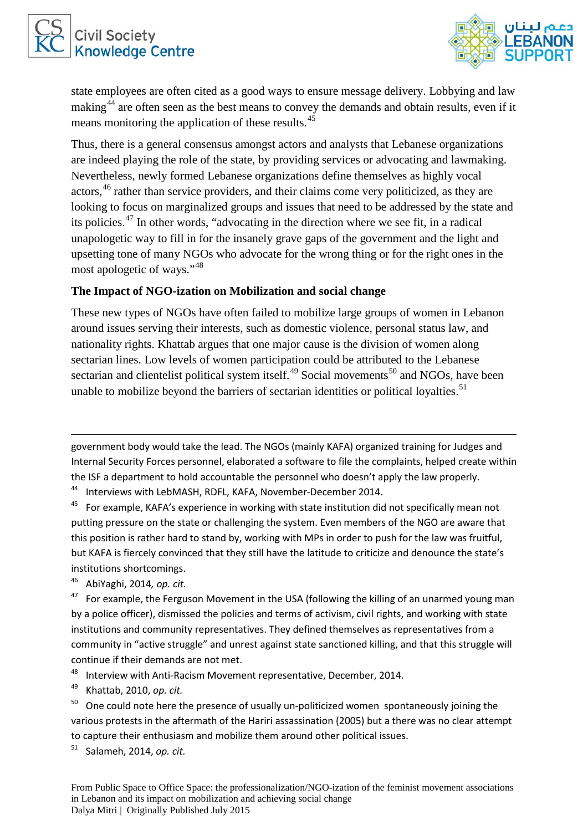



state employees are often cited as a good ways to ensure message delivery. Lobbying and law making<sup>[44](#page-10-0)</sup> are often seen as the best means to convey the demands and obtain results, even if it means monitoring the application of these results.<sup>[45](#page-10-1)</sup>

Thus, there is a general consensus amongst actors and analysts that Lebanese organizations are indeed playing the role of the state, by providing services or advocating and lawmaking. Nevertheless, newly formed Lebanese organizations define themselves as highly vocal actors,<sup>[46](#page-10-2)</sup> rather than service providers, and their claims come very politicized, as they are looking to focus on marginalized groups and issues that need to be addressed by the state and its policies.[47](#page-10-3) In other words, "advocating in the direction where we see fit, in a radical unapologetic way to fill in for the insanely grave gaps of the government and the light and upsetting tone of many NGOs who advocate for the wrong thing or for the right ones in the most apologetic of ways."[48](#page-10-4)

### **The Impact of NGO-ization on Mobilization and social change**

These new types of NGOs have often failed to mobilize large groups of women in Lebanon around issues serving their interests, such as domestic violence, personal status law, and nationality rights. Khattab argues that one major cause is the division of women along sectarian lines. Low levels of women participation could be attributed to the Lebanese sectarian and clientelist political system itself.<sup>[49](#page-10-5)</sup> Social movements<sup>[50](#page-10-6)</sup> and NGOs, have been unable to mobilize beyond the barriers of sectarian identities or political loyalties.<sup>[51](#page-10-7)</sup>

government body would take the lead. The NGOs (mainly KAFA) organized training for Judges and Internal Security Forces personnel, elaborated a software to file the complaints, helped create within the ISF a department to hold accountable the personnel who doesn't apply the law properly.

<span id="page-10-0"></span><sup>44</sup> Interviews with LebMASH, RDFL, KAFA, November-December 2014.

<span id="page-10-1"></span><sup>45</sup> For example, KAFA's experience in working with state institution did not specifically mean not putting pressure on the state or challenging the system. Even members of the NGO are aware that this position is rather hard to stand by, working with MPs in order to push for the law was fruitful, but KAFA is fiercely convinced that they still have the latitude to criticize and denounce the state's institutions shortcomings.

<span id="page-10-2"></span><sup>46</sup> AbiYaghi, 2014*, op. cit.*

**.** 

<span id="page-10-3"></span> $47$  For example, the Ferguson Movement in the USA (following the killing of an unarmed young man by a police officer), dismissed the policies and terms of activism, civil rights, and working with state institutions and community representatives. They defined themselves as representatives from a community in "active struggle" and unrest against state sanctioned killing, and that this struggle will continue if their demands are not met.

<span id="page-10-4"></span><sup>48</sup> Interview with Anti-Racism Movement representative, December, 2014.

<span id="page-10-5"></span><sup>49</sup> Khattab, 2010, *op. cit.* 

<span id="page-10-6"></span> $50$  One could note here the presence of usually un-politicized women spontaneously joining the various protests in the aftermath of the Hariri assassination (2005) but a there was no clear attempt to capture their enthusiasm and mobilize them around other political issues.

<span id="page-10-7"></span><sup>51</sup> Salameh, 2014, *op. cit.*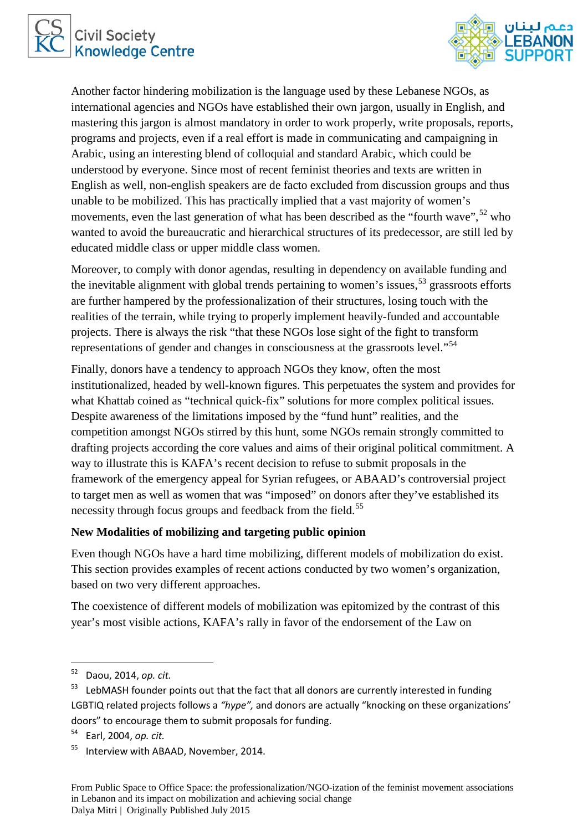



Another factor hindering mobilization is the language used by these Lebanese NGOs, as international agencies and NGOs have established their own jargon, usually in English, and mastering this jargon is almost mandatory in order to work properly, write proposals, reports, programs and projects, even if a real effort is made in communicating and campaigning in Arabic, using an interesting blend of colloquial and standard Arabic, which could be understood by everyone. Since most of recent feminist theories and texts are written in English as well, non-english speakers are de facto excluded from discussion groups and thus unable to be mobilized. This has practically implied that a vast majority of women's movements, even the last generation of what has been described as the "fourth wave",  $52$  who wanted to avoid the bureaucratic and hierarchical structures of its predecessor, are still led by educated middle class or upper middle class women.

Moreover, to comply with donor agendas, resulting in dependency on available funding and the inevitable alignment with global trends pertaining to women's issues,  $53$  grassroots efforts are further hampered by the professionalization of their structures, losing touch with the realities of the terrain, while trying to properly implement heavily-funded and accountable projects. There is always the risk "that these NGOs lose sight of the fight to transform representations of gender and changes in consciousness at the grassroots level."<sup>[54](#page-11-2)</sup>

Finally, donors have a tendency to approach NGOs they know, often the most institutionalized, headed by well-known figures. This perpetuates the system and provides for what Khattab coined as "technical quick-fix" solutions for more complex political issues. Despite awareness of the limitations imposed by the "fund hunt" realities, and the competition amongst NGOs stirred by this hunt, some NGOs remain strongly committed to drafting projects according the core values and aims of their original political commitment. A way to illustrate this is KAFA's recent decision to refuse to submit proposals in the framework of the emergency appeal for Syrian refugees, or ABAAD's controversial project to target men as well as women that was "imposed" on donors after they've established its necessity through focus groups and feedback from the field.<sup>[55](#page-11-3)</sup>

#### **New Modalities of mobilizing and targeting public opinion**

Even though NGOs have a hard time mobilizing, different models of mobilization do exist. This section provides examples of recent actions conducted by two women's organization, based on two very different approaches.

The coexistence of different models of mobilization was epitomized by the contrast of this year's most visible actions, KAFA's rally in favor of the endorsement of the Law on

<span id="page-11-0"></span> <sup>52</sup> Daou, 2014, *op. cit.*

<span id="page-11-1"></span> $53$  LebMASH founder points out that the fact that all donors are currently interested in funding LGBTIQ related projects follows a *"hype",* and donors are actually "knocking on these organizations' doors" to encourage them to submit proposals for funding.

<span id="page-11-2"></span><sup>54</sup> Earl, 2004, *op. cit.*

<span id="page-11-3"></span><sup>&</sup>lt;sup>55</sup> Interview with ABAAD, November, 2014.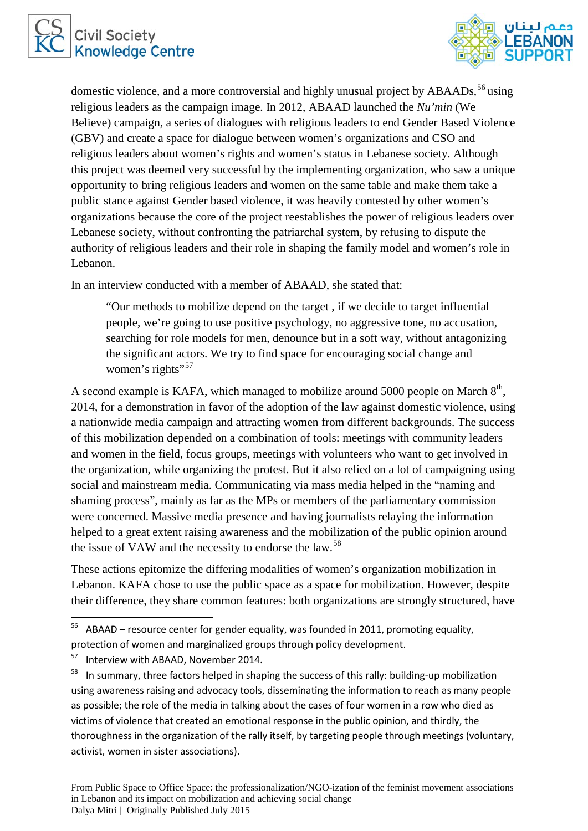



domestic violence, and a more controversial and highly unusual project by ABAADs,<sup>[56](#page-12-0)</sup> using religious leaders as the campaign image. In 2012, ABAAD launched the *Nu'min* (We Believe) campaign*,* a series of dialogues with religious leaders to end Gender Based Violence (GBV) and create a space for dialogue between women's organizations and CSO and religious leaders about women's rights and women's status in Lebanese society. Although this project was deemed very successful by the implementing organization, who saw a unique opportunity to bring religious leaders and women on the same table and make them take a public stance against Gender based violence, it was heavily contested by other women's organizations because the core of the project reestablishes the power of religious leaders over Lebanese society, without confronting the patriarchal system, by refusing to dispute the authority of religious leaders and their role in shaping the family model and women's role in Lebanon.

In an interview conducted with a member of ABAAD, she stated that:

"Our methods to mobilize depend on the target , if we decide to target influential people, we're going to use positive psychology, no aggressive tone, no accusation, searching for role models for men, denounce but in a soft way, without antagonizing the significant actors. We try to find space for encouraging social change and women's rights"<sup>[57](#page-12-1)</sup>

A second example is KAFA, which managed to mobilize around 5000 people on March  $8<sup>th</sup>$ , 2014, for a demonstration in favor of the adoption of the law against domestic violence, using a nationwide media campaign and attracting women from different backgrounds. The success of this mobilization depended on a combination of tools: meetings with community leaders and women in the field, focus groups, meetings with volunteers who want to get involved in the organization, while organizing the protest. But it also relied on a lot of campaigning using social and mainstream media. Communicating via mass media helped in the "naming and shaming process", mainly as far as the MPs or members of the parliamentary commission were concerned. Massive media presence and having journalists relaying the information helped to a great extent raising awareness and the mobilization of the public opinion around the issue of VAW and the necessity to endorse the law.<sup>[58](#page-12-2)</sup>

These actions epitomize the differing modalities of women's organization mobilization in Lebanon. KAFA chose to use the public space as a space for mobilization. However, despite their difference, they share common features: both organizations are strongly structured, have

<span id="page-12-0"></span> $56$  ABAAD – resource center for gender equality, was founded in 2011, promoting equality, protection of women and marginalized groups through policy development.

<span id="page-12-1"></span><sup>&</sup>lt;sup>57</sup> Interview with ABAAD, November 2014.

<span id="page-12-2"></span> $58$  In summary, three factors helped in shaping the success of this rally: building-up mobilization using awareness raising and advocacy tools, disseminating the information to reach as many people as possible; the role of the media in talking about the cases of four women in a row who died as victims of violence that created an emotional response in the public opinion, and thirdly, the thoroughness in the organization of the rally itself, by targeting people through meetings (voluntary, activist, women in sister associations).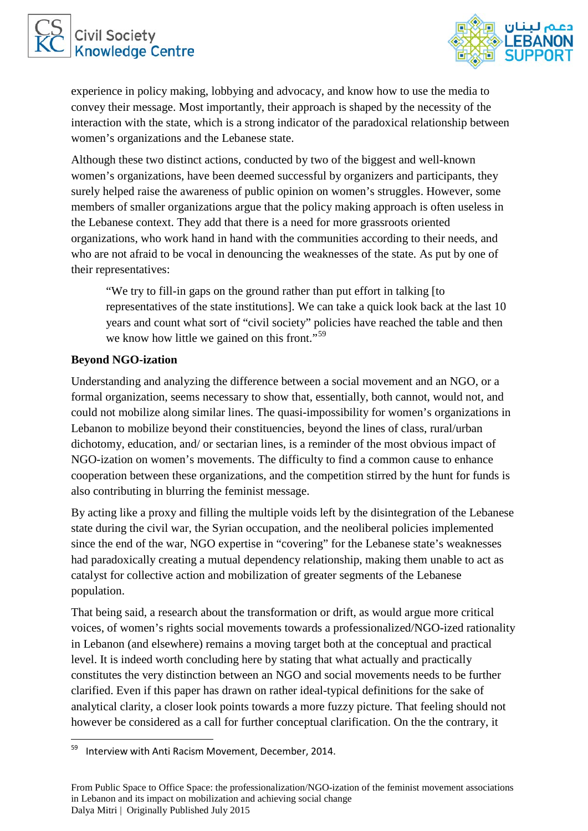



experience in policy making, lobbying and advocacy, and know how to use the media to convey their message. Most importantly, their approach is shaped by the necessity of the interaction with the state, which is a strong indicator of the paradoxical relationship between women's organizations and the Lebanese state.

Although these two distinct actions, conducted by two of the biggest and well-known women's organizations, have been deemed successful by organizers and participants, they surely helped raise the awareness of public opinion on women's struggles. However, some members of smaller organizations argue that the policy making approach is often useless in the Lebanese context. They add that there is a need for more grassroots oriented organizations, who work hand in hand with the communities according to their needs, and who are not afraid to be vocal in denouncing the weaknesses of the state. As put by one of their representatives:

"We try to fill-in gaps on the ground rather than put effort in talking [to representatives of the state institutions]. We can take a quick look back at the last 10 years and count what sort of "civil society" policies have reached the table and then we know how little we gained on this front."<sup>[59](#page-13-0)</sup>

## **Beyond NGO-ization**

Understanding and analyzing the difference between a social movement and an NGO, or a formal organization, seems necessary to show that, essentially, both cannot, would not, and could not mobilize along similar lines. The quasi-impossibility for women's organizations in Lebanon to mobilize beyond their constituencies, beyond the lines of class, rural/urban dichotomy, education, and/ or sectarian lines, is a reminder of the most obvious impact of NGO-ization on women's movements. The difficulty to find a common cause to enhance cooperation between these organizations, and the competition stirred by the hunt for funds is also contributing in blurring the feminist message.

By acting like a proxy and filling the multiple voids left by the disintegration of the Lebanese state during the civil war, the Syrian occupation, and the neoliberal policies implemented since the end of the war, NGO expertise in "covering" for the Lebanese state's weaknesses had paradoxically creating a mutual dependency relationship, making them unable to act as catalyst for collective action and mobilization of greater segments of the Lebanese population.

That being said, a research about the transformation or drift, as would argue more critical voices, of women's rights social movements towards a professionalized/NGO-ized rationality in Lebanon (and elsewhere) remains a moving target both at the conceptual and practical level. It is indeed worth concluding here by stating that what actually and practically constitutes the very distinction between an NGO and social movements needs to be further clarified. Even if this paper has drawn on rather ideal-typical definitions for the sake of analytical clarity, a closer look points towards a more fuzzy picture. That feeling should not however be considered as a call for further conceptual clarification. On the the contrary, it

<span id="page-13-0"></span>Interview with Anti Racism Movement, December, 2014.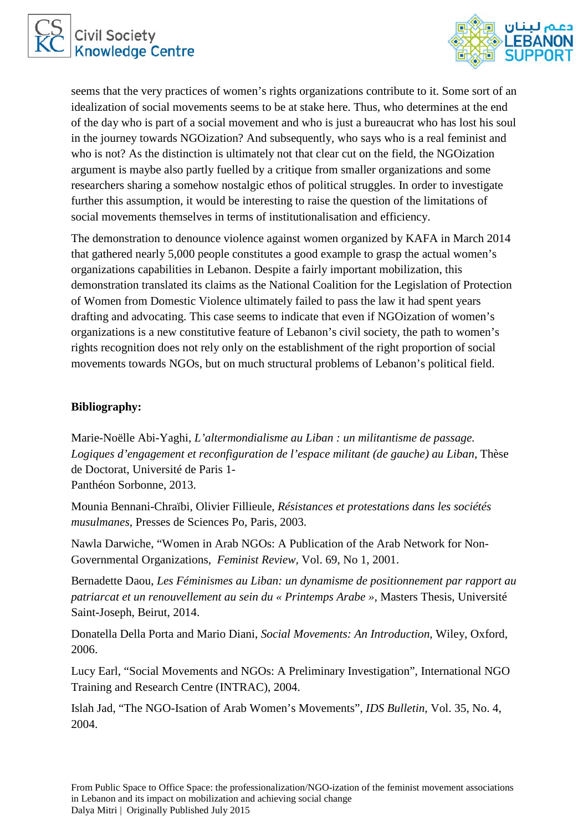



seems that the very practices of women's rights organizations contribute to it. Some sort of an idealization of social movements seems to be at stake here. Thus, who determines at the end of the day who is part of a social movement and who is just a bureaucrat who has lost his soul in the journey towards NGOization? And subsequently, who says who is a real feminist and who is not? As the distinction is ultimately not that clear cut on the field, the NGOization argument is maybe also partly fuelled by a critique from smaller organizations and some researchers sharing a somehow nostalgic ethos of political struggles. In order to investigate further this assumption, it would be interesting to raise the question of the limitations of social movements themselves in terms of institutionalisation and efficiency.

The demonstration to denounce violence against women organized by KAFA in March 2014 that gathered nearly 5,000 people constitutes a good example to grasp the actual women's organizations capabilities in Lebanon. Despite a fairly important mobilization, this demonstration translated its claims as the National Coalition for the Legislation of Protection of Women from Domestic Violence ultimately failed to pass the law it had spent years drafting and advocating. This case seems to indicate that even if NGOization of women's organizations is a new constitutive feature of Lebanon's civil society, the path to women's rights recognition does not rely only on the establishment of the right proportion of social movements towards NGOs, but on much structural problems of Lebanon's political field.

### **Bibliography:**

Marie-Noëlle Abi-Yaghi, *L'altermondialisme au Liban : un militantisme de passage. Logiques d'engagement et reconfiguration de l'espace militant (de gauche) au Liban*, Thèse de Doctorat, Université de Paris 1- Panthéon Sorbonne, 2013.

Mounia Bennani-Chraïbi, Olivier Fillieule, *Résistances et protestations dans les sociétés musulmanes*, Presses de Sciences Po, Paris, 2003.

Nawla Darwiche, "Women in Arab NGOs: A Publication of the Arab Network for Non-Governmental Organizations, *Feminist Review,* Vol. 69, No 1, 2001.

Bernadette Daou, *Les Féminismes au Liban: un dynamisme de positionnement par rapport au patriarcat et un renouvellement au sein du « Printemps Arabe »,* Masters Thesis, Université Saint-Joseph, Beirut, 2014.

Donatella Della Porta and Mario Diani, *Social Movements: An Introduction*, Wiley, Oxford, 2006.

Lucy Earl, "Social Movements and NGOs: A Preliminary Investigation", International NGO Training and Research Centre (INTRAC), 2004.

Islah Jad, "The NGO-Isation of Arab Women's Movements", *IDS Bulletin,* Vol. 35, No. 4, 2004.